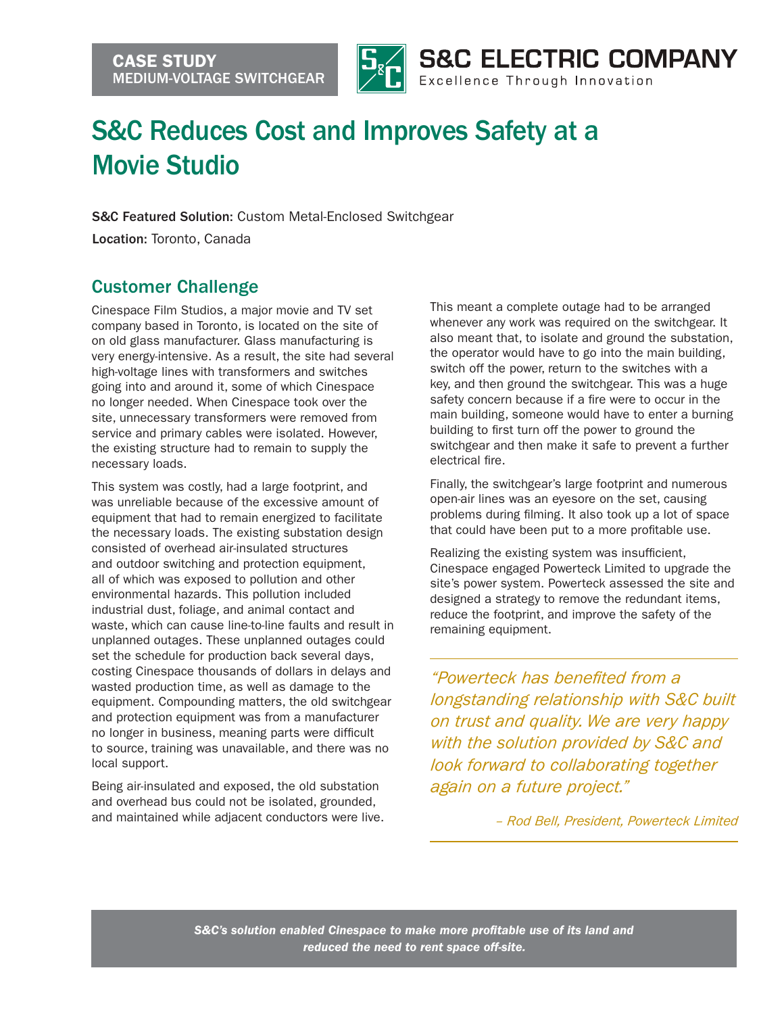

## S&C Reduces Cost and Improves Safety at a Movie Studio

S&C Featured Solution: Custom Metal-Enclosed Switchgear

Location: Toronto, Canada

## Customer Challenge

Cinespace Film Studios, a major movie and TV set company based in Toronto, is located on the site of on old glass manufacturer. Glass manufacturing is very energy-intensive. As a result, the site had several high-voltage lines with transformers and switches going into and around it, some of which Cinespace no longer needed. When Cinespace took over the site, unnecessary transformers were removed from service and primary cables were isolated. However, the existing structure had to remain to supply the necessary loads.

This system was costly, had a large footprint, and was unreliable because of the excessive amount of equipment that had to remain energized to facilitate the necessary loads. The existing substation design consisted of overhead air-insulated structures and outdoor switching and protection equipment, all of which was exposed to pollution and other environmental hazards. This pollution included industrial dust, foliage, and animal contact and waste, which can cause line-to-line faults and result in unplanned outages. These unplanned outages could set the schedule for production back several days, costing Cinespace thousands of dollars in delays and wasted production time, as well as damage to the equipment. Compounding matters, the old switchgear and protection equipment was from a manufacturer no longer in business, meaning parts were difficult to source, training was unavailable, and there was no local support.

Being air-insulated and exposed, the old substation and overhead bus could not be isolated, grounded, and maintained while adjacent conductors were live. This meant a complete outage had to be arranged whenever any work was required on the switchgear. It also meant that, to isolate and ground the substation, the operator would have to go into the main building, switch off the power, return to the switches with a key, and then ground the switchgear. This was a huge safety concern because if a fire were to occur in the main building, someone would have to enter a burning building to first turn off the power to ground the switchgear and then make it safe to prevent a further electrical fire.

Finally, the switchgear's large footprint and numerous open-air lines was an eyesore on the set, causing problems during filming. It also took up a lot of space that could have been put to a more profitable use.

Realizing the existing system was insufficient, Cinespace engaged Powerteck Limited to upgrade the site's power system. Powerteck assessed the site and designed a strategy to remove the redundant items, reduce the footprint, and improve the safety of the remaining equipment.

*"Powerteck has benefited from a longstanding relationship with S&C built on trust and quality. We are very happy with the solution provided by S&C and look forward to collaborating together again on a future project."*

*– Rod Bell, President, Powerteck Limited*